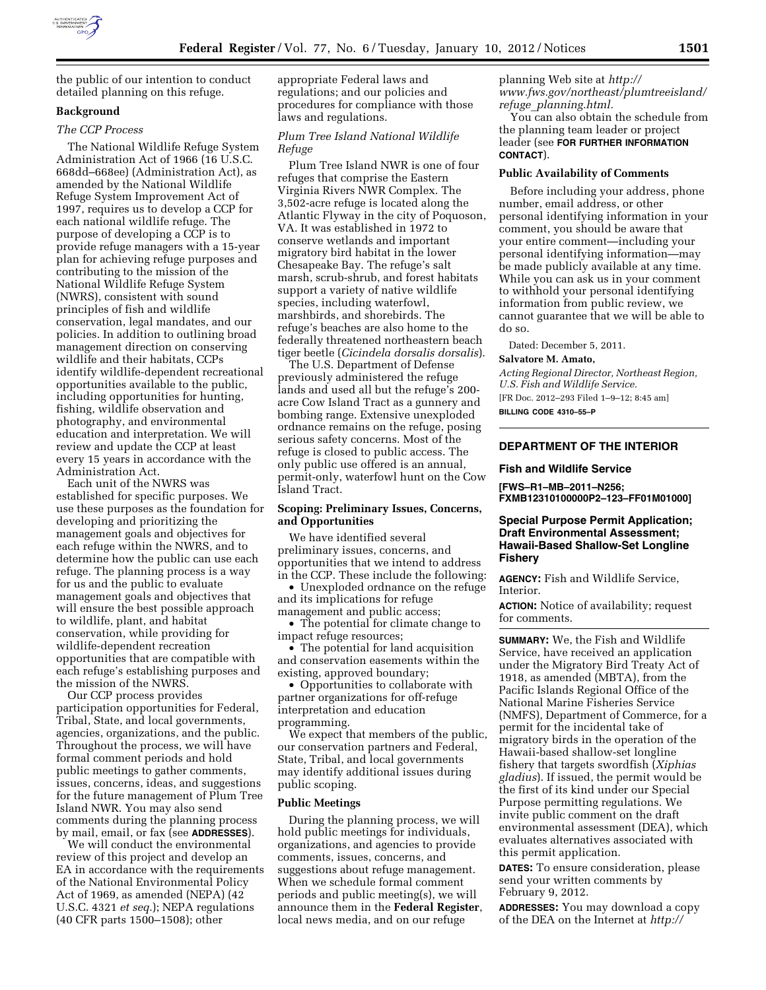

the public of our intention to conduct detailed planning on this refuge.

# **Background**

# *The CCP Process*

The National Wildlife Refuge System Administration Act of 1966 (16 U.S.C. 668dd–668ee) (Administration Act), as amended by the National Wildlife Refuge System Improvement Act of 1997, requires us to develop a CCP for each national wildlife refuge. The purpose of developing a CCP is to provide refuge managers with a 15-year plan for achieving refuge purposes and contributing to the mission of the National Wildlife Refuge System (NWRS), consistent with sound principles of fish and wildlife conservation, legal mandates, and our policies. In addition to outlining broad management direction on conserving wildlife and their habitats, CCPs identify wildlife-dependent recreational opportunities available to the public, including opportunities for hunting, fishing, wildlife observation and photography, and environmental education and interpretation. We will review and update the CCP at least every 15 years in accordance with the Administration Act.

Each unit of the NWRS was established for specific purposes. We use these purposes as the foundation for developing and prioritizing the management goals and objectives for each refuge within the NWRS, and to determine how the public can use each refuge. The planning process is a way for us and the public to evaluate management goals and objectives that will ensure the best possible approach to wildlife, plant, and habitat conservation, while providing for wildlife-dependent recreation opportunities that are compatible with each refuge's establishing purposes and the mission of the NWRS.

Our CCP process provides participation opportunities for Federal, Tribal, State, and local governments, agencies, organizations, and the public. Throughout the process, we will have formal comment periods and hold public meetings to gather comments, issues, concerns, ideas, and suggestions for the future management of Plum Tree Island NWR. You may also send comments during the planning process by mail, email, or fax (see **ADDRESSES**).

We will conduct the environmental review of this project and develop an EA in accordance with the requirements of the National Environmental Policy Act of 1969, as amended (NEPA) (42 U.S.C. 4321 *et seq.*); NEPA regulations (40 CFR parts 1500–1508); other

appropriate Federal laws and regulations; and our policies and procedures for compliance with those laws and regulations.

# *Plum Tree Island National Wildlife Refuge*

Plum Tree Island NWR is one of four refuges that comprise the Eastern Virginia Rivers NWR Complex. The 3,502-acre refuge is located along the Atlantic Flyway in the city of Poquoson, VA. It was established in 1972 to conserve wetlands and important migratory bird habitat in the lower Chesapeake Bay. The refuge's salt marsh, scrub-shrub, and forest habitats support a variety of native wildlife species, including waterfowl, marshbirds, and shorebirds. The refuge's beaches are also home to the federally threatened northeastern beach tiger beetle (*Cicindela dorsalis dorsalis*).

The U.S. Department of Defense previously administered the refuge lands and used all but the refuge's 200acre Cow Island Tract as a gunnery and bombing range. Extensive unexploded ordnance remains on the refuge, posing serious safety concerns. Most of the refuge is closed to public access. The only public use offered is an annual, permit-only, waterfowl hunt on the Cow Island Tract.

# **Scoping: Preliminary Issues, Concerns, and Opportunities**

We have identified several preliminary issues, concerns, and opportunities that we intend to address in the CCP. These include the following:

• Unexploded ordnance on the refuge and its implications for refuge management and public access;

• The potential for climate change to impact refuge resources;

• The potential for land acquisition and conservation easements within the existing, approved boundary;

• Opportunities to collaborate with partner organizations for off-refuge interpretation and education programming.

We expect that members of the public, our conservation partners and Federal, State, Tribal, and local governments may identify additional issues during public scoping.

# **Public Meetings**

During the planning process, we will hold public meetings for individuals, organizations, and agencies to provide comments, issues, concerns, and suggestions about refuge management. When we schedule formal comment periods and public meeting(s), we will announce them in the **Federal Register**, local news media, and on our refuge

planning Web site at *[http://](http://www.fws.gov/northeast/plumtreeisland/refuge_planning.html)  [www.fws.gov/northeast/plumtreeisland/](http://www.fws.gov/northeast/plumtreeisland/refuge_planning.html) refuge*\_*[planning.html.](http://www.fws.gov/northeast/plumtreeisland/refuge_planning.html)* 

You can also obtain the schedule from the planning team leader or project leader (see **FOR FURTHER INFORMATION CONTACT**).

### **Public Availability of Comments**

Before including your address, phone number, email address, or other personal identifying information in your comment, you should be aware that your entire comment—including your personal identifying information—may be made publicly available at any time. While you can ask us in your comment to withhold your personal identifying information from public review, we cannot guarantee that we will be able to do so.

Dated: December 5, 2011.

#### **Salvatore M. Amato,**

*Acting Regional Director, Northeast Region, U.S. Fish and Wildlife Service.* 

[FR Doc. 2012–293 Filed 1–9–12; 8:45 am]

**BILLING CODE 4310–55–P** 

### **DEPARTMENT OF THE INTERIOR**

#### **Fish and Wildlife Service**

**[FWS–R1–MB–2011–N256; FXMB12310100000P2–123–FF01M01000]** 

# **Special Purpose Permit Application; Draft Environmental Assessment; Hawaii-Based Shallow-Set Longline Fishery**

**AGENCY:** Fish and Wildlife Service, Interior.

**ACTION:** Notice of availability; request for comments.

**SUMMARY:** We, the Fish and Wildlife Service, have received an application under the Migratory Bird Treaty Act of 1918, as amended (MBTA), from the Pacific Islands Regional Office of the National Marine Fisheries Service (NMFS), Department of Commerce, for a permit for the incidental take of migratory birds in the operation of the Hawaii-based shallow-set longline fishery that targets swordfish (*Xiphias gladius*). If issued, the permit would be the first of its kind under our Special Purpose permitting regulations. We invite public comment on the draft environmental assessment (DEA), which evaluates alternatives associated with this permit application.

**DATES:** To ensure consideration, please send your written comments by February 9, 2012.

**ADDRESSES:** You may download a copy of the DEA on the Internet at *[http://](http://www.fws.gov/pacific/migratorybirds/nepa.html)*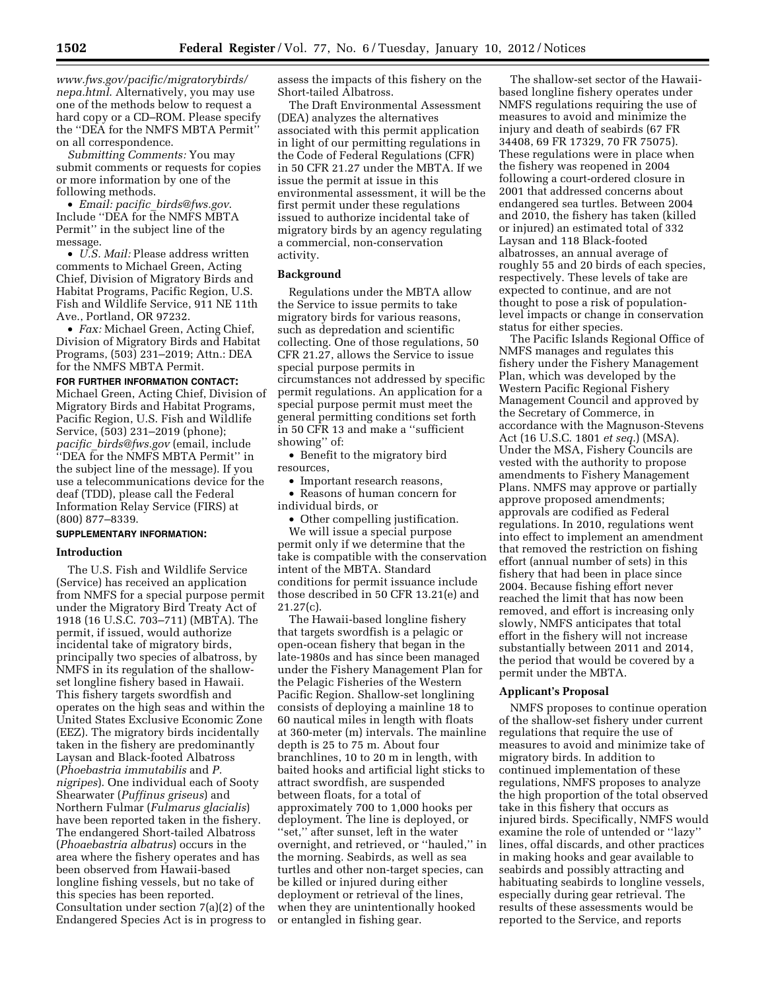*[www.fws.gov/pacific/migratorybirds/](http://www.fws.gov/pacific/migratorybirds/nepa.html) [nepa.html](http://www.fws.gov/pacific/migratorybirds/nepa.html)*. Alternatively, you may use one of the methods below to request a hard copy or a CD–ROM. Please specify the ''DEA for the NMFS MBTA Permit'' on all correspondence.

*Submitting Comments:* You may submit comments or requests for copies or more information by one of the following methods.

• *Email: pacific*\_*[birds@fws.gov](mailto:pacific_birds@fws.gov)*. Include ''DEA for the NMFS MBTA Permit'' in the subject line of the message.

• *U.S. Mail:* Please address written comments to Michael Green, Acting Chief, Division of Migratory Birds and Habitat Programs, Pacific Region, U.S. Fish and Wildlife Service, 911 NE 11th Ave., Portland, OR 97232.

• *Fax:* Michael Green, Acting Chief, Division of Migratory Birds and Habitat Programs, (503) 231–2019; Attn.: DEA for the NMFS MBTA Permit.

#### **FOR FURTHER INFORMATION CONTACT:**

Michael Green, Acting Chief, Division of Migratory Birds and Habitat Programs, Pacific Region, U.S. Fish and Wildlife Service, (503) 231–2019 (phone); *pacific*\_*[birds@fws.gov](mailto:pacific_birds@fws.gov)* (email, include ''DEA for the NMFS MBTA Permit'' in the subject line of the message). If you use a telecommunications device for the deaf (TDD), please call the Federal Information Relay Service (FIRS) at (800) 877–8339.

### **SUPPLEMENTARY INFORMATION:**

### **Introduction**

The U.S. Fish and Wildlife Service (Service) has received an application from NMFS for a special purpose permit under the Migratory Bird Treaty Act of 1918 (16 U.S.C. 703–711) (MBTA). The permit, if issued, would authorize incidental take of migratory birds, principally two species of albatross, by NMFS in its regulation of the shallowset longline fishery based in Hawaii. This fishery targets swordfish and operates on the high seas and within the United States Exclusive Economic Zone (EEZ). The migratory birds incidentally taken in the fishery are predominantly Laysan and Black-footed Albatross (*Phoebastria immutabilis* and *P. nigripes*). One individual each of Sooty Shearwater (*Puffinus griseus*) and Northern Fulmar (*Fulmarus glacialis*) have been reported taken in the fishery. The endangered Short-tailed Albatross (*Phoaebastria albatrus*) occurs in the area where the fishery operates and has been observed from Hawaii-based longline fishing vessels, but no take of this species has been reported. Consultation under section 7(a)(2) of the Endangered Species Act is in progress to assess the impacts of this fishery on the Short-tailed Albatross.

The Draft Environmental Assessment (DEA) analyzes the alternatives associated with this permit application in light of our permitting regulations in the Code of Federal Regulations (CFR) in 50 CFR 21.27 under the MBTA. If we issue the permit at issue in this environmental assessment, it will be the first permit under these regulations issued to authorize incidental take of migratory birds by an agency regulating a commercial, non-conservation activity.

## **Background**

Regulations under the MBTA allow the Service to issue permits to take migratory birds for various reasons, such as depredation and scientific collecting. One of those regulations, 50 CFR 21.27, allows the Service to issue special purpose permits in circumstances not addressed by specific permit regulations. An application for a special purpose permit must meet the general permitting conditions set forth in 50 CFR 13 and make a ''sufficient showing'' of:

• Benefit to the migratory bird resources,

• Important research reasons,

• Reasons of human concern for individual birds, or

• Other compelling justification.

We will issue a special purpose permit only if we determine that the take is compatible with the conservation intent of the MBTA. Standard conditions for permit issuance include those described in 50 CFR 13.21(e) and 21.27(c).

The Hawaii-based longline fishery that targets swordfish is a pelagic or open-ocean fishery that began in the late-1980s and has since been managed under the Fishery Management Plan for the Pelagic Fisheries of the Western Pacific Region. Shallow-set longlining consists of deploying a mainline 18 to 60 nautical miles in length with floats at 360-meter (m) intervals. The mainline depth is 25 to 75 m. About four branchlines, 10 to 20 m in length, with baited hooks and artificial light sticks to attract swordfish, are suspended between floats, for a total of approximately 700 to 1,000 hooks per deployment. The line is deployed, or ''set,'' after sunset, left in the water overnight, and retrieved, or ''hauled,'' in the morning. Seabirds, as well as sea turtles and other non-target species, can be killed or injured during either deployment or retrieval of the lines, when they are unintentionally hooked or entangled in fishing gear.

The shallow-set sector of the Hawaiibased longline fishery operates under NMFS regulations requiring the use of measures to avoid and minimize the injury and death of seabirds (67 FR 34408, 69 FR 17329, 70 FR 75075). These regulations were in place when the fishery was reopened in 2004 following a court-ordered closure in 2001 that addressed concerns about endangered sea turtles. Between 2004 and 2010, the fishery has taken (killed or injured) an estimated total of 332 Laysan and 118 Black-footed albatrosses, an annual average of roughly 55 and 20 birds of each species, respectively. These levels of take are expected to continue, and are not thought to pose a risk of populationlevel impacts or change in conservation status for either species.

The Pacific Islands Regional Office of NMFS manages and regulates this fishery under the Fishery Management Plan, which was developed by the Western Pacific Regional Fishery Management Council and approved by the Secretary of Commerce, in accordance with the Magnuson-Stevens Act (16 U.S.C. 1801 *et seq.*) (MSA). Under the MSA, Fishery Councils are vested with the authority to propose amendments to Fishery Management Plans. NMFS may approve or partially approve proposed amendments; approvals are codified as Federal regulations. In 2010, regulations went into effect to implement an amendment that removed the restriction on fishing effort (annual number of sets) in this fishery that had been in place since 2004. Because fishing effort never reached the limit that has now been removed, and effort is increasing only slowly, NMFS anticipates that total effort in the fishery will not increase substantially between 2011 and 2014, the period that would be covered by a permit under the MBTA.

### **Applicant's Proposal**

NMFS proposes to continue operation of the shallow-set fishery under current regulations that require the use of measures to avoid and minimize take of migratory birds. In addition to continued implementation of these regulations, NMFS proposes to analyze the high proportion of the total observed take in this fishery that occurs as injured birds. Specifically, NMFS would examine the role of untended or ''lazy'' lines, offal discards, and other practices in making hooks and gear available to seabirds and possibly attracting and habituating seabirds to longline vessels, especially during gear retrieval. The results of these assessments would be reported to the Service, and reports